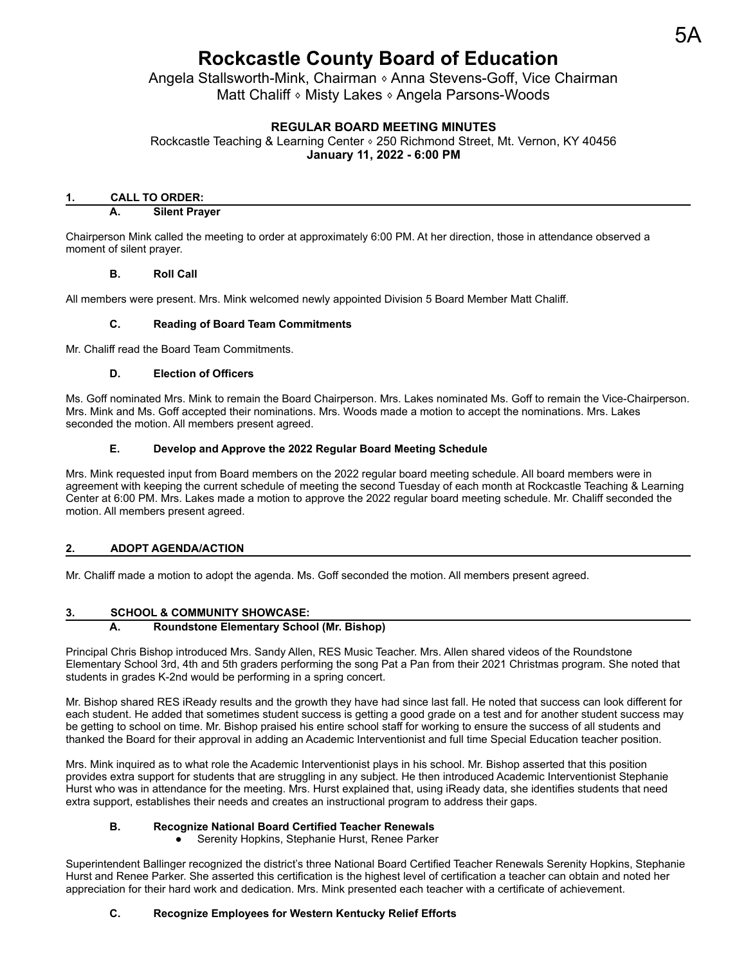# **Rockcastle County Board of Education**

Angela Stallsworth-Mink, Chairman 
<sup>§</sup> Anna Stevens-Goff, Vice Chairman Matt Chaliff ⬧ Misty Lakes ⬧ Angela Parsons-Woods

# **REGULAR BOARD MEETING MINUTES**

Rockcastle Teaching & Learning Center • 250 Richmond Street, Mt. Vernon, KY 40456 **January 11, 2022 - 6:00 PM**

### **1. CALL TO ORDER:**

#### **A. Silent Prayer**

Chairperson Mink called the meeting to order at approximately 6:00 PM. At her direction, those in attendance observed a moment of silent prayer.

#### **B. Roll Call**

All members were present. Mrs. Mink welcomed newly appointed Division 5 Board Member Matt Chaliff.

### **C. Reading of Board Team Commitments**

Mr. Chaliff read the Board Team Commitments.

#### **D. Election of Officers**

Ms. Goff nominated Mrs. Mink to remain the Board Chairperson. Mrs. Lakes nominated Ms. Goff to remain the Vice-Chairperson. Mrs. Mink and Ms. Goff accepted their nominations. Mrs. Woods made a motion to accept the nominations. Mrs. Lakes seconded the motion. All members present agreed.

## **E. Develop and Approve the 2022 Regular Board Meeting Schedule**

Mrs. Mink requested input from Board members on the 2022 regular board meeting schedule. All board members were in agreement with keeping the current schedule of meeting the second Tuesday of each month at Rockcastle Teaching & Learning Center at 6:00 PM. Mrs. Lakes made a motion to approve the 2022 regular board meeting schedule. Mr. Chaliff seconded the motion. All members present agreed.

# **2. ADOPT AGENDA/ACTION**

Mr. Chaliff made a motion to adopt the agenda. Ms. Goff seconded the motion. All members present agreed.

# **3. SCHOOL & COMMUNITY SHOWCASE:**

# **A. Roundstone Elementary School (Mr. Bishop)**

Principal Chris Bishop introduced Mrs. Sandy Allen, RES Music Teacher. Mrs. Allen shared videos of the Roundstone Elementary School 3rd, 4th and 5th graders performing the song Pat a Pan from their 2021 Christmas program. She noted that students in grades K-2nd would be performing in a spring concert.

Mr. Bishop shared RES iReady results and the growth they have had since last fall. He noted that success can look different for each student. He added that sometimes student success is getting a good grade on a test and for another student success may be getting to school on time. Mr. Bishop praised his entire school staff for working to ensure the success of all students and thanked the Board for their approval in adding an Academic Interventionist and full time Special Education teacher position.

Mrs. Mink inquired as to what role the Academic Interventionist plays in his school. Mr. Bishop asserted that this position provides extra support for students that are struggling in any subject. He then introduced Academic Interventionist Stephanie Hurst who was in attendance for the meeting. Mrs. Hurst explained that, using iReady data, she identifies students that need extra support, establishes their needs and creates an instructional program to address their gaps.

# **B. Recognize National Board Certified Teacher Renewals**

● Serenity Hopkins, Stephanie Hurst, Renee Parker

Superintendent Ballinger recognized the district's three National Board Certified Teacher Renewals Serenity Hopkins, Stephanie Hurst and Renee Parker. She asserted this certification is the highest level of certification a teacher can obtain and noted her appreciation for their hard work and dedication. Mrs. Mink presented each teacher with a certificate of achievement.

# **C. Recognize Employees for Western Kentucky Relief Efforts**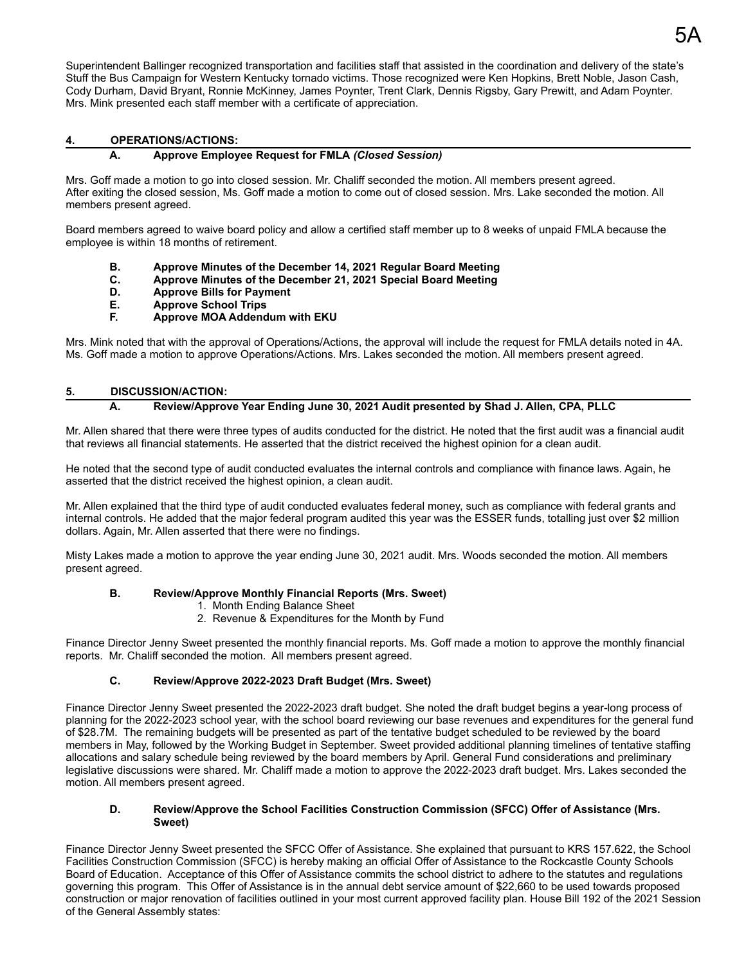Superintendent Ballinger recognized transportation and facilities staff that assisted in the coordination and delivery of the state's Stuff the Bus Campaign for Western Kentucky tornado victims. Those recognized were Ken Hopkins, Brett Noble, Jason Cash, Cody Durham, David Bryant, Ronnie McKinney, James Poynter, Trent Clark, Dennis Rigsby, Gary Prewitt, and Adam Poynter. Mrs. Mink presented each staff member with a certificate of appreciation.

# **4. OPERATIONS/ACTIONS:**

## **A. Approve Employee Request for FMLA** *(Closed Session)*

Mrs. Goff made a motion to go into closed session. Mr. Chaliff seconded the motion. All members present agreed. After exiting the closed session, Ms. Goff made a motion to come out of closed session. Mrs. Lake seconded the motion. All members present agreed.

Board members agreed to waive board policy and allow a certified staff member up to 8 weeks of unpaid FMLA because the employee is within 18 months of retirement.

- **B. Approve Minutes of the December 14, 2021 Regular Board Meeting**
- **C. Approve Minutes of the December 21, 2021 Special Board Meeting**
- **D. Approve Bills for Payment**
- **E. Approve School Trips**
- **F. Approve MOA Addendum with EKU**

Mrs. Mink noted that with the approval of Operations/Actions, the approval will include the request for FMLA details noted in 4A. Ms. Goff made a motion to approve Operations/Actions. Mrs. Lakes seconded the motion. All members present agreed.

#### **5. DISCUSSION/ACTION:**

### **A. Review/Approve Year Ending June 30, 2021 Audit presented by Shad J. Allen, CPA, PLLC**

Mr. Allen shared that there were three types of audits conducted for the district. He noted that the first audit was a financial audit that reviews all financial statements. He asserted that the district received the highest opinion for a clean audit.

He noted that the second type of audit conducted evaluates the internal controls and compliance with finance laws. Again, he asserted that the district received the highest opinion, a clean audit.

Mr. Allen explained that the third type of audit conducted evaluates federal money, such as compliance with federal grants and internal controls. He added that the major federal program audited this year was the ESSER funds, totalling just over \$2 million dollars. Again, Mr. Allen asserted that there were no findings.

Misty Lakes made a motion to approve the year ending June 30, 2021 audit. Mrs. Woods seconded the motion. All members present agreed.

## **B. Review/Approve Monthly Financial Reports (Mrs. Sweet)**

- 1. Month Ending Balance Sheet
- 2. Revenue & Expenditures for the Month by Fund

Finance Director Jenny Sweet presented the monthly financial reports. Ms. Goff made a motion to approve the monthly financial reports. Mr. Chaliff seconded the motion. All members present agreed.

#### **C. Review/Approve 2022-2023 Draft Budget (Mrs. Sweet)**

Finance Director Jenny Sweet presented the 2022-2023 draft budget. She noted the draft budget begins a year-long process of planning for the 2022-2023 school year, with the school board reviewing our base revenues and expenditures for the general fund of \$28.7M. The remaining budgets will be presented as part of the tentative budget scheduled to be reviewed by the board members in May, followed by the Working Budget in September. Sweet provided additional planning timelines of tentative staffing allocations and salary schedule being reviewed by the board members by April. General Fund considerations and preliminary legislative discussions were shared. Mr. Chaliff made a motion to approve the 2022-2023 draft budget. Mrs. Lakes seconded the motion. All members present agreed.

#### **D. Review/Approve the School Facilities Construction Commission (SFCC) Offer of Assistance (Mrs. Sweet)**

Finance Director Jenny Sweet presented the SFCC Offer of Assistance. She explained that pursuant to KRS 157.622, the School Facilities Construction Commission (SFCC) is hereby making an official Offer of Assistance to the Rockcastle County Schools Board of Education. Acceptance of this Offer of Assistance commits the school district to adhere to the statutes and regulations governing this program. This Offer of Assistance is in the annual debt service amount of \$22,660 to be used towards proposed construction or major renovation of facilities outlined in your most current approved facility plan. House Bill 192 of the 2021 Session of the General Assembly states: